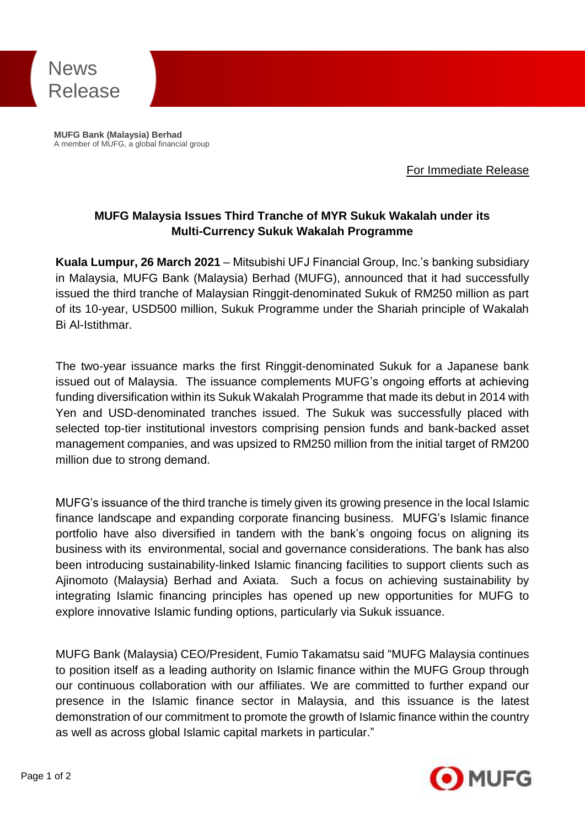

**MUFG Bank (Malaysia) Berhad** A member of MUFG, a global financial group

For Immediate Release

## **MUFG Malaysia Issues Third Tranche of MYR Sukuk Wakalah under its Multi-Currency Sukuk Wakalah Programme**

**Kuala Lumpur, 26 March 2021** – Mitsubishi UFJ Financial Group, Inc.'s banking subsidiary in Malaysia, MUFG Bank (Malaysia) Berhad (MUFG), announced that it had successfully issued the third tranche of Malaysian Ringgit-denominated Sukuk of RM250 million as part of its 10-year, USD500 million, Sukuk Programme under the Shariah principle of Wakalah Bi Al-Istithmar.

The two-year issuance marks the first Ringgit-denominated Sukuk for a Japanese bank issued out of Malaysia. The issuance complements MUFG's ongoing efforts at achieving funding diversification within its Sukuk Wakalah Programme that made its debut in 2014 with Yen and USD-denominated tranches issued. The Sukuk was successfully placed with selected top-tier institutional investors comprising pension funds and bank-backed asset management companies, and was upsized to RM250 million from the initial target of RM200 million due to strong demand.

MUFG's issuance of the third tranche is timely given its growing presence in the local Islamic finance landscape and expanding corporate financing business. MUFG's Islamic finance portfolio have also diversified in tandem with the bank's ongoing focus on aligning its business with its environmental, social and governance considerations. The bank has also been introducing sustainability-linked Islamic financing facilities to support clients such as Ajinomoto (Malaysia) Berhad and Axiata. Such a focus on achieving sustainability by integrating Islamic financing principles has opened up new opportunities for MUFG to explore innovative Islamic funding options, particularly via Sukuk issuance.

MUFG Bank (Malaysia) CEO/President, Fumio Takamatsu said "MUFG Malaysia continues to position itself as a leading authority on Islamic finance within the MUFG Group through our continuous collaboration with our affiliates. We are committed to further expand our presence in the Islamic finance sector in Malaysia, and this issuance is the latest demonstration of our commitment to promote the growth of Islamic finance within the country as well as across global Islamic capital markets in particular."